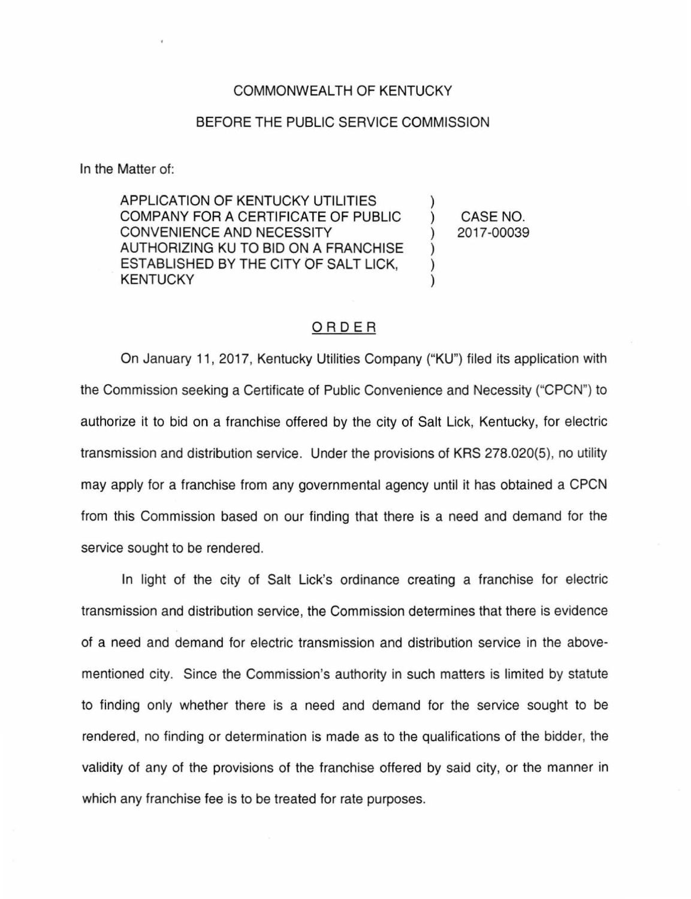## COMMONWEALTH OF KENTUCKY

## BEFORE THE PUBLIC SERVICE COMMISSION

In the Matter of:

APPLICATION OF KENTUCKY UTILITIES COMPANY FOR A CERTIFICATE OF PUBLIC CONVENIENCE AND NECESSITY AUTHORIZING KU TO BID ON A FRANCHISE ESTABLISHED BY THE CITY OF SALT LICK, **KENTUCKY** 

CASE NO. 2017-00039

## ORDER

On January 11, 2017, Kentucky Utilities Company ("KU") filed its application with the Commission seeking a Certificate of Public Convenience and Necessity ("CPCN") to authorize it to bid on a franchise offered by the city of Salt Lick, Kentucky, for electric transmission and distribution service. Under the provisions of KRS 278.020(5}, no utility may apply for a franchise from any governmental agency until it has obtained a CPCN from this Commission based on our finding that there is a need and demand for the service sought to be rendered.

In light of the city of Salt Lick's ordinance creating a franchise for electric transmission and distribution service, the Commission determines that there is evidence of a need and demand for electric transmission and distribution service in the abovementioned city. Since the Commission's authority in such matters is limited by statute to finding only whether there is a need and demand for the service sought to be rendered, no finding or determination is made as to the qualifications of the bidder, the validity of any of the provisions of the franchise offered by said city, or the manner in which any franchise fee is to be treated for rate purposes.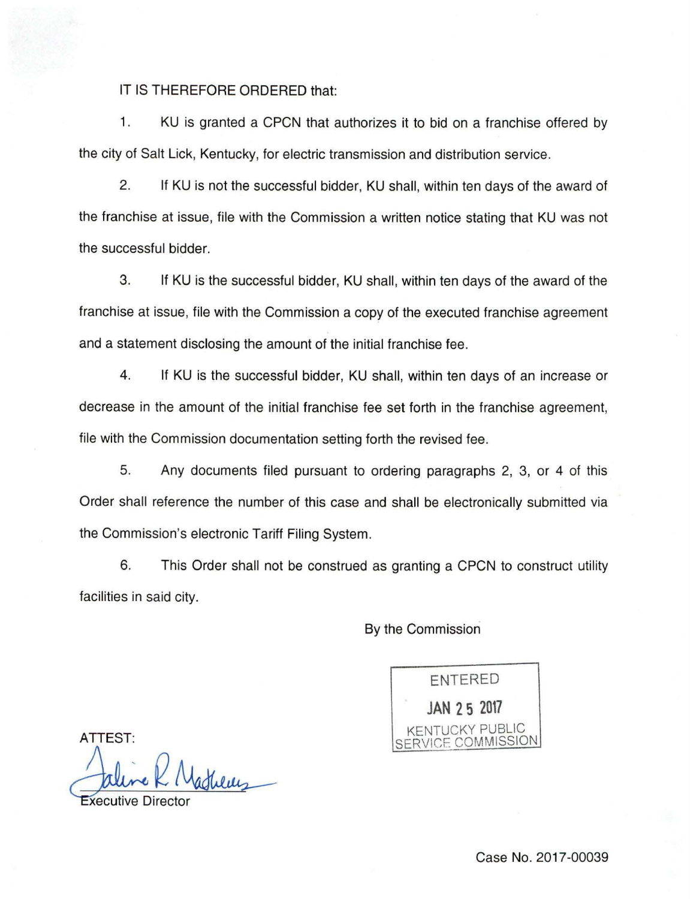IT IS THEREFORE ORDERED that:

1. KU is granted a CPCN that authorizes it to bid on a franchise offered by the city of Salt Lick, Kentucky, for electric transmission and distribution service.

2. If KU is not the successful bidder, KU shall, within ten days of the award of the franchise at issue, file with the Commission a written notice stating that KU was not the successful bidder.

3. If KU is the successful bidder, KU shall, within ten days of the award of the franchise at issue, file with the Commission a copy of the executed franchise agreement and a statement disclosing the amount of the initial franchise fee.

4. If KU is the successful bidder, KU shall, within ten days of an increase or decrease in the amount of the initial franchise fee set forth in the franchise agreement, file with the Commission documentation setting forth the revised fee.

5. Any documents filed pursuant to ordering paragraphs 2, 3, or 4 of this Order shall reference the number of this case and shall be electronically submitted via the Commission's electronic Tariff Filing System.

6. This Order shall not be construed as granting a CPCN to construct utility facilities in said city.

By the Commission

ENTERED **JAN 2 5 2017**  TUCKY PUBLIC SERVICE COMMISSION

ATTEST:

duluy

**Xecutive Direct**